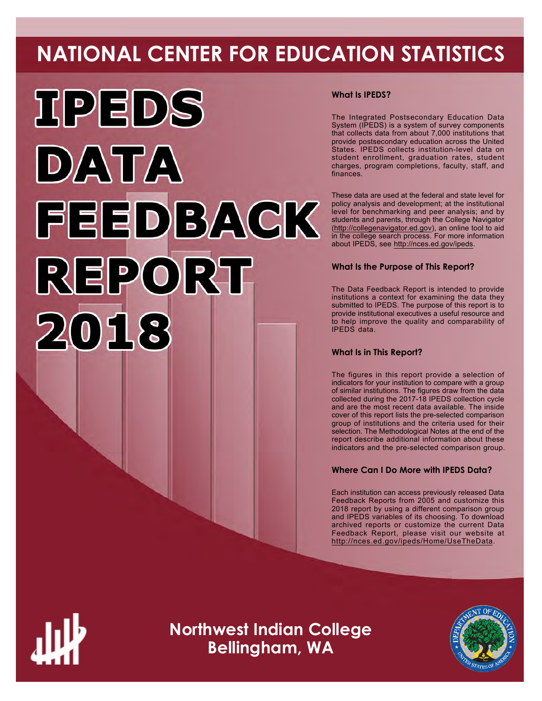# **NATIONAL CENTER FOR EDUCATION STATISTICS**



# **What Is IPEDS?**

The Integrated Postsecondary Education Data System (IPEDS) is a system of survey components that collects data from about 7,000 institutions that provide postsecondary education across the United States. IPEDS collects institution-level data on student enrollment, graduation rates, student charges, program completions, faculty, staff, and finances.

These data are used at the federal and state level for policy analysis and development; at the institutional level for benchmarking and peer analysis; and by students and parents, through the College Navigator ([http://collegenavigator.ed.gov\)](http://collegenavigator.ed.gov), an online tool to aid in the college search process. For more information about IPEDS, see [http://nces.ed.gov/ipeds.](http://nces.ed.gov/ipeds)

# **What Is the Purpose of This Report?**

The Data Feedback Report is intended to provide institutions a context for examining the data they submitted to IPEDS. The purpose of this report is to provide institutional executives a useful resource and to help improve the quality and comparability of IPEDS data.

# **What Is in This Report?**

The figures in this report provide a selection of indicators for your institution to compare with a group of similar institutions. The figures draw from the data collected during the 2017-18 IPEDS collection cycle and are the most recent data available. The inside cover of this report lists the pre-selected comparison group of institutions and the criteria used for their selection. The Methodological Notes at the end of the report describe additional information about these indicators and the pre-selected comparison group.

# **Where Can I Do More with IPEDS Data?**

Each institution can access previously released Data Feedback Reports from 2005 and customize this 2018 report by using a different comparison group and IPEDS variables of its choosing. To download archived reports or customize the current Data Feedback Report, please visit our website at <http://nces.ed.gov/ipeds/Home/UseTheData>.



**Northwest Indian College Bellingham, WA**

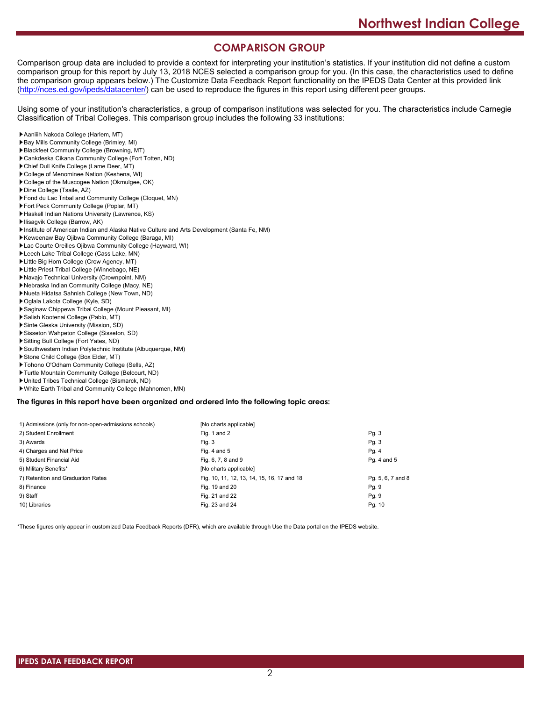# **COMPARISON GROUP**

Comparison group data are included to provide a context for interpreting your institution's statistics. If your institution did not define a custom comparison group for this report by July 13, 2018 NCES selected a comparison group for you. (In this case, the characteristics used to define the comparison group appears below.) The Customize Data Feedback Report functionality on the IPEDS Data Center at this provided link [\(http://nces.ed.gov/ipeds/datacenter/\)](http://nces.ed.gov/ipeds/datacenter/) can be used to reproduce the figures in this report using different peer groups.

Using some of your institution's characteristics, a group of comparison institutions was selected for you. The characteristics include Carnegie Classification of Tribal Colleges. This comparison group includes the following 33 institutions:

- Aaniiih Nakoda College (Harlem, MT)
- Bay Mills Community College (Brimley, MI)
- Blackfeet Community College (Browning, MT)
- Cankdeska Cikana Community College (Fort Totten, ND)
- Chief Dull Knife College (Lame Deer, MT)
- College of Menominee Nation (Keshena, WI)
- College of the Muscogee Nation (Okmulgee, OK)
- Dine College (Tsaile, AZ)
- Fond du Lac Tribal and Community College (Cloquet, MN)
- Fort Peck Community College (Poplar, MT)
- Haskell Indian Nations University (Lawrence, KS)
- **Ilisagvik College (Barrow, AK)**
- Institute of American Indian and Alaska Native Culture and Arts Development (Santa Fe, NM)
- Keweenaw Bay Ojibwa Community College (Baraga, MI)
- Lac Courte Oreilles Ojibwa Community College (Hayward, WI)
- Leech Lake Tribal College (Cass Lake, MN)
- Little Big Horn College (Crow Agency, MT)
- Little Priest Tribal College (Winnebago, NE)
- Navajo Technical University (Crownpoint, NM)
- Nebraska Indian Community College (Macy, NE)
- Nueta Hidatsa Sahnish College (New Town, ND)
- Oglala Lakota College (Kyle, SD)
- Saginaw Chippewa Tribal College (Mount Pleasant, MI)
- Salish Kootenai College (Pablo, MT)
- Sinte Gleska University (Mission, SD)
- Sisseton Wahpeton College (Sisseton, SD)
- Sitting Bull College (Fort Yates, ND)
- Southwestern Indian Polytechnic Institute (Albuquerque, NM)
- Stone Child College (Box Elder, MT)
- Tohono O'Odham Community College (Sells, AZ)
- Turtle Mountain Community College (Belcourt, ND)
- United Tribes Technical College (Bismarck, ND)
- White Earth Tribal and Community College (Mahnomen, MN)

#### **The figures in this report have been organized and ordered into the following topic areas:**

| 1) Admissions (only for non-open-admissions schools) | [No charts applicable]                     |                   |
|------------------------------------------------------|--------------------------------------------|-------------------|
| 2) Student Enrollment                                | Fig. 1 and 2                               | Pg.3              |
| 3) Awards                                            | Fig. 3                                     | Pg. 3             |
| 4) Charges and Net Price                             | Fig. 4 and $5$                             | Pg. 4             |
| 5) Student Financial Aid                             | Fig. 6, 7, 8 and 9                         | Pg. 4 and 5       |
| 6) Military Benefits*                                | [No charts applicable]                     |                   |
| 7) Retention and Graduation Rates                    | Fig. 10, 11, 12, 13, 14, 15, 16, 17 and 18 | Pg. 5, 6, 7 and 8 |
| 8) Finance                                           | Fig. 19 and 20                             | Pg. 9             |
| 9) Staff                                             | Fig. 21 and 22                             | Pg. 9             |
| 10) Libraries                                        | Fig. 23 and 24                             | Pg. 10            |

\*These figures only appear in customized Data Feedback Reports (DFR), which are available through Use the Data portal on the IPEDS website.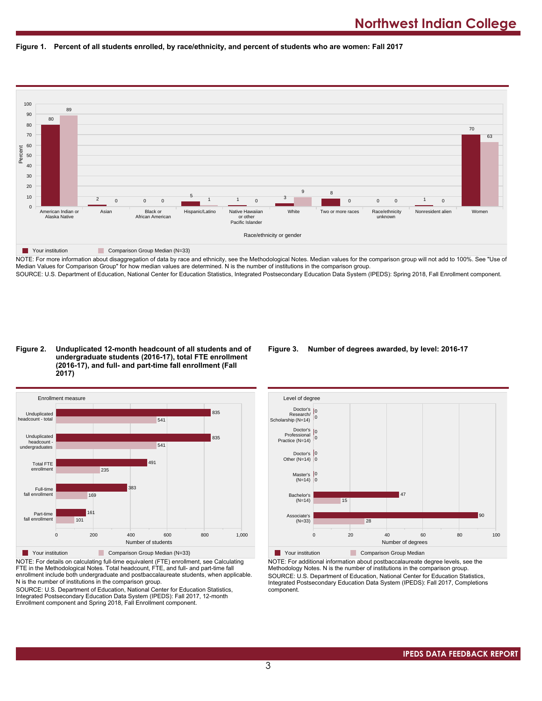



NOTE: For more information about disaggregation of data by race and ethnicity, see the Methodological Notes. Median values for the comparison group will not add to 100%. See "Use of Median Values for Comparison Group" for how median values are determined. N is the number of institutions in the comparison group. SOURCE: U.S. Department of Education, National Center for Education Statistics, Integrated Postsecondary Education Data System (IPEDS): Spring 2018, Fall Enrollment component.

#### **Figure 2. Unduplicated 12-month headcount of all students and of undergraduate students (2016-17), total FTE enrollment (2016-17), and full- and part-time fall enrollment (Fall 2017)**



NOTE: For details on calculating full-time equivalent (FTE) enrollment, see Calculating FTE in the Methodological Notes. Total headcount, FTE, and full- and part-time fall enrollment include both undergraduate and postbaccalaureate students, when applicable. N is the number of institutions in the comparison group.

SOURCE: U.S. Department of Education, National Center for Education Statistics, Integrated Postsecondary Education Data System (IPEDS): Fall 2017, 12-month Enrollment component and Spring 2018, Fall Enrollment component.

#### **Figure 3. Number of degrees awarded, by level: 2016-17**



NOTE: For additional information about postbaccalaureate degree levels, see the Methodology Notes. N is the number of institutions in the comparison group. SOURCE: U.S. Department of Education, National Center for Education Statistics, Integrated Postsecondary Education Data System (IPEDS): Fall 2017, Completions component.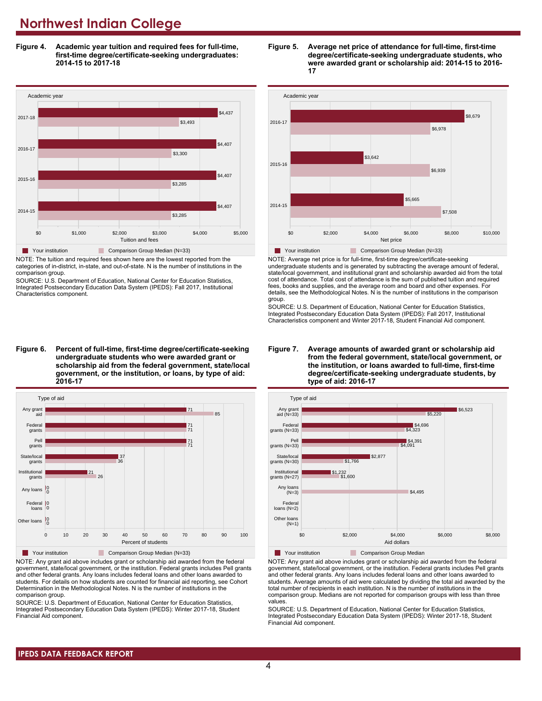**Figure 4. Academic year tuition and required fees for full-time, first-time degree/certificate-seeking undergraduates: 2014-15 to 2017-18**



NOTE: The tuition and required fees shown here are the lowest reported from the categories of in-district, in-state, and out-of-state. N is the number of institutions in the comparison group.

SOURCE: U.S. Department of Education, National Center for Education Statistics, Integrated Postsecondary Education Data System (IPEDS): Fall 2017, Institutional Characteristics component.

**Figure 6. Percent of full-time, first-time degree/certificate-seeking undergraduate students who were awarded grant or scholarship aid from the federal government, state/local government, or the institution, or loans, by type of aid: 2016-17**



NOTE: Any grant aid above includes grant or scholarship aid awarded from the federal government, state/local government, or the institution. Federal grants includes Pell grants and other federal grants. Any loans includes federal loans and other loans awarded to students. For details on how students are counted for financial aid reporting, see Cohort Determination in the Methodological Notes. N is the number of institutions in the comparison group.

SOURCE: U.S. Department of Education, National Center for Education Statistics, Integrated Postsecondary Education Data System (IPEDS): Winter 2017-18, Student Financial Aid component.





NOTE: Average net price is for full-time, first-time degree/certificate-seeking undergraduate students and is generated by subtracting the average amount of federal, state/local government, and institutional grant and scholarship awarded aid from the total cost of attendance. Total cost of attendance is the sum of published tuition and required fees, books and supplies, and the average room and board and other expenses. For details, see the Methodological Notes. N is the number of institutions in the comparison group.

SOURCE: U.S. Department of Education, National Center for Education Statistics, Integrated Postsecondary Education Data System (IPEDS): Fall 2017, Institutional Characteristics component and Winter 2017-18, Student Financial Aid component.





**The Your institution Comparison Group Median** 

NOTE: Any grant aid above includes grant or scholarship aid awarded from the federal government, state/local government, or the institution. Federal grants includes Pell grants and other federal grants. Any loans includes federal loans and other loans awarded to students. Average amounts of aid were calculated by dividing the total aid awarded by the total number of recipients in each institution. N is the number of institutions in the comparison group. Medians are not reported for comparison groups with less than three values.

SOURCE: U.S. Department of Education, National Center for Education Statistics, Integrated Postsecondary Education Data System (IPEDS): Winter 2017-18, Student Financial Aid component.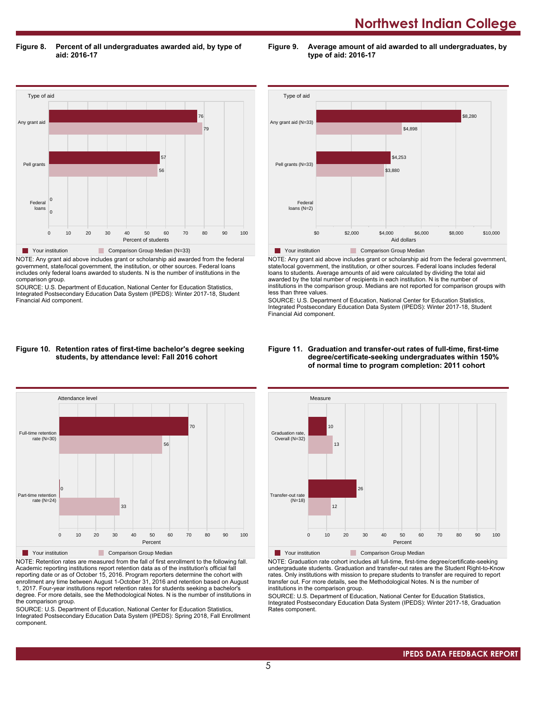**Figure 8. Percent of all undergraduates awarded aid, by type of aid: 2016-17**

**Figure 9. Average amount of aid awarded to all undergraduates, by type of aid: 2016-17**



NOTE: Any grant aid above includes grant or scholarship aid awarded from the federal government, state/local government, the institution, or other sources. Federal loans includes only federal loans awarded to students. N is the number of institutions in the comparison group.

SOURCE: U.S. Department of Education, National Center for Education Statistics, Integrated Postsecondary Education Data System (IPEDS): Winter 2017-18, Student Financial Aid component.



NOTE: Any grant aid above includes grant or scholarship aid from the federal government, state/local government, the institution, or other sources. Federal loans includes federal loans to students. Average amounts of aid were calculated by dividing the total aid awarded by the total number of recipients in each institution. N is the number of institutions in the comparison group. Medians are not reported for comparison groups with less than three values.

SOURCE: U.S. Department of Education, National Center for Education Statistics, Integrated Postsecondary Education Data System (IPEDS): Winter 2017-18, Student Financial Aid component.

#### **Figure 10. Retention rates of first-time bachelor's degree seeking students, by attendance level: Fall 2016 cohort**



NOTE: Retention rates are measured from the fall of first enrollment to the following fall. Academic reporting institutions report retention data as of the institution's official fall reporting date or as of October 15, 2016. Program reporters determine the cohort with enrollment any time between August 1-October 31, 2016 and retention based on August 1, 2017. Four-year institutions report retention rates for students seeking a bachelor's degree. For more details, see the Methodological Notes. N is the number of institutions in the comparison group.

SOURCE: U.S. Department of Education, National Center for Education Statistics, Integrated Postsecondary Education Data System (IPEDS): Spring 2018, Fall Enrollment component.

#### **Figure 11. Graduation and transfer-out rates of full-time, first-time degree/certificate-seeking undergraduates within 150% of normal time to program completion: 2011 cohort**



NOTE: Graduation rate cohort includes all full-time, first-time degree/certificate-seeking undergraduate students. Graduation and transfer-out rates are the Student Right-to-Know rates. Only institutions with mission to prepare students to transfer are required to report transfer out. For more details, see the Methodological Notes. N is the number of institutions in the comparison group.

SOURCE: U.S. Department of Education, National Center for Education Statistics, Integrated Postsecondary Education Data System (IPEDS): Winter 2017-18, Graduation Rates component.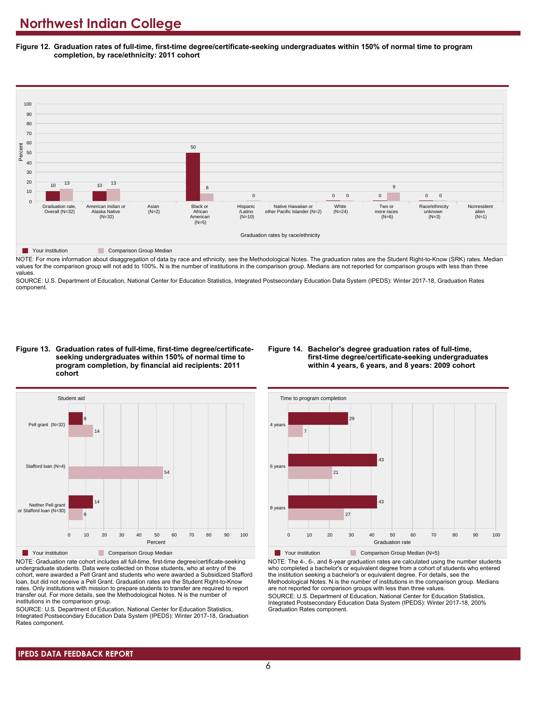**Figure 12. Graduation rates of full-time, first-time degree/certificate-seeking undergraduates within 150% of normal time to program completion, by race/ethnicity: 2011 cohort**



**Table Your institution Comparison Group Median** 

NOTE: For more information about disaggregation of data by race and ethnicity, see the Methodological Notes. The graduation rates are the Student Right-to-Know (SRK) rates. Median values for the comparison group will not add to 100%. N is the number of institutions in the comparison group. Medians are not reported for comparison groups with less than three values.

SOURCE: U.S. Department of Education, National Center for Education Statistics, Integrated Postsecondary Education Data System (IPEDS): Winter 2017-18, Graduation Rates component.

**Figure 13. Graduation rates of full-time, first-time degree/certificateseeking undergraduates within 150% of normal time to program completion, by financial aid recipients: 2011 cohort**

#### **Figure 14. Bachelor's degree graduation rates of full-time, first-time degree/certificate-seeking undergraduates within 4 years, 6 years, and 8 years: 2009 cohort**



NOTE: Graduation rate cohort includes all full-time, first-time degree/certificate-seeking undergraduate students. Data were collected on those students, who at entry of the cohort, were awarded a Pell Grant and students who were awarded a Subsidized Stafford loan, but did not receive a Pell Grant. Graduation rates are the Student Right-to-Know rates. Only institutions with mission to prepare students to transfer are required to report transfer out. For more details, see the Methodological Notes. N is the number of institutions in the comparison group.

SOURCE: U.S. Department of Education, National Center for Education Statistics, Integrated Postsecondary Education Data System (IPEDS): Winter 2017-18, Graduation Rates component.



**The Your institution** Comparison Group Median (N=5)

NOTE: The 4-, 6-, and 8-year graduation rates are calculated using the number students who completed a bachelor's or equivalent degree from a cohort of students who entered the institution seeking a bachelor's or equivalent degree. For details, see the Methodological Notes. N is the number of institutions in the comparison group. Medians are not reported for comparison groups with less than three values.

SOURCE: U.S. Department of Education, National Center for Education Statistics, Integrated Postsecondary Education Data System (IPEDS): Winter 2017-18, 200% Graduation Rates component.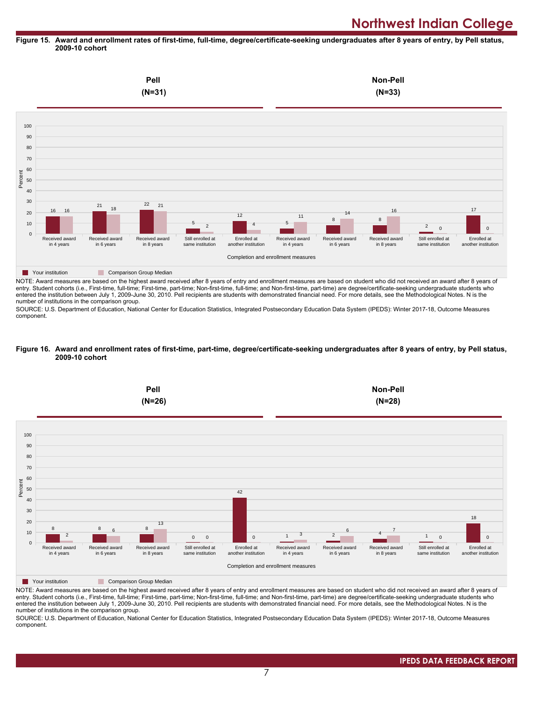#### **Figure 15. Award and enrollment rates of first-time, full-time, degree/certificate-seeking undergraduates after 8 years of entry, by Pell status, 2009-10 cohort**



NOTE: Award measures are based on the highest award received after 8 years of entry and enrollment measures are based on student who did not received an award after 8 years of entry. Student cohorts (i.e., First-time, full-time; First-time, part-time; Non-first-time, full-time; and Non-first-time, part-time) are degree/certificate-seeking undergraduate students who entered the institution between July 1, 2009-June 30, 2010. Pell recipients are students with demonstrated financial need. For more details, see the Methodological Notes. N is the number of institutions in the comparison group.

SOURCE: U.S. Department of Education, National Center for Education Statistics, Integrated Postsecondary Education Data System (IPEDS): Winter 2017-18, Outcome Measures component.

#### **Figure 16. Award and enrollment rates of first-time, part-time, degree/certificate-seeking undergraduates after 8 years of entry, by Pell status, 2009-10 cohort**



NOTE: Award measures are based on the highest award received after 8 years of entry and enrollment measures are based on student who did not received an award after 8 years of entry. Student cohorts (i.e., First-time, full-time; First-time, part-time; Non-first-time, full-time; and Non-first-time, part-time) are degree/certificate-seeking undergraduate students who entered the institution between July 1, 2009-June 30, 2010. Pell recipients are students with demonstrated financial need. For more details, see the Methodological Notes. N is the number of institutions in the comparison group.

SOURCE: U.S. Department of Education, National Center for Education Statistics, Integrated Postsecondary Education Data System (IPEDS): Winter 2017-18, Outcome Measures component.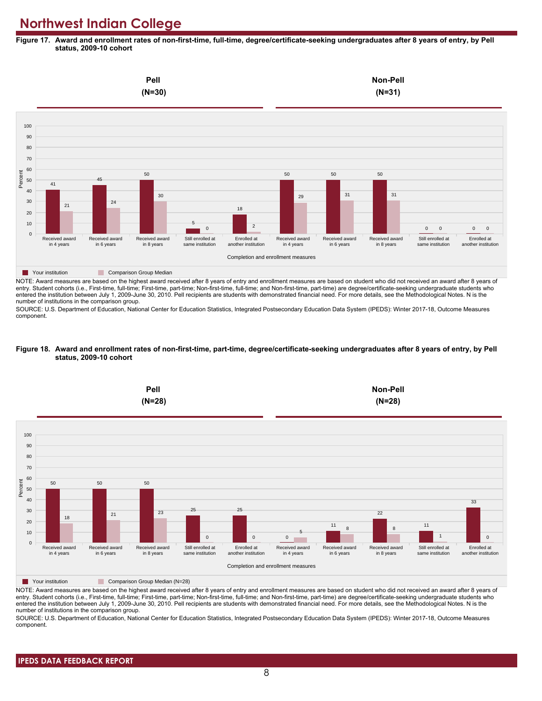**Figure 17. Award and enrollment rates of non-first-time, full-time, degree/certificate-seeking undergraduates after 8 years of entry, by Pell status, 2009-10 cohort**



NOTE: Award measures are based on the highest award received after 8 years of entry and enrollment measures are based on student who did not received an award after 8 years of entry. Student cohorts (i.e., First-time, full-time; First-time, part-time; Non-first-time, full-time; and Non-first-time, part-time) are degree/certificate-seeking undergraduate students who entered the institution between July 1, 2009-June 30, 2010. Pell recipients are students with demonstrated financial need. For more details, see the Methodological Notes. N is the number of institutions in the comparison group.

SOURCE: U.S. Department of Education, National Center for Education Statistics, Integrated Postsecondary Education Data System (IPEDS): Winter 2017-18, Outcome Measures component.

#### **Figure 18. Award and enrollment rates of non-first-time, part-time, degree/certificate-seeking undergraduates after 8 years of entry, by Pell status, 2009-10 cohort**



NOTE: Award measures are based on the highest award received after 8 years of entry and enrollment measures are based on student who did not received an award after 8 years of entry. Student cohorts (i.e., First-time, full-time; First-time, part-time; Non-first-time, full-time; and Non-first-time, part-time) are degree/certificate-seeking undergraduate students who entered the institution between July 1, 2009-June 30, 2010. Pell recipients are students with demonstrated financial need. For more details, see the Methodological Notes. N is the number of institutions in the comparison group.

SOURCE: U.S. Department of Education, National Center for Education Statistics, Integrated Postsecondary Education Data System (IPEDS): Winter 2017-18, Outcome Measures component.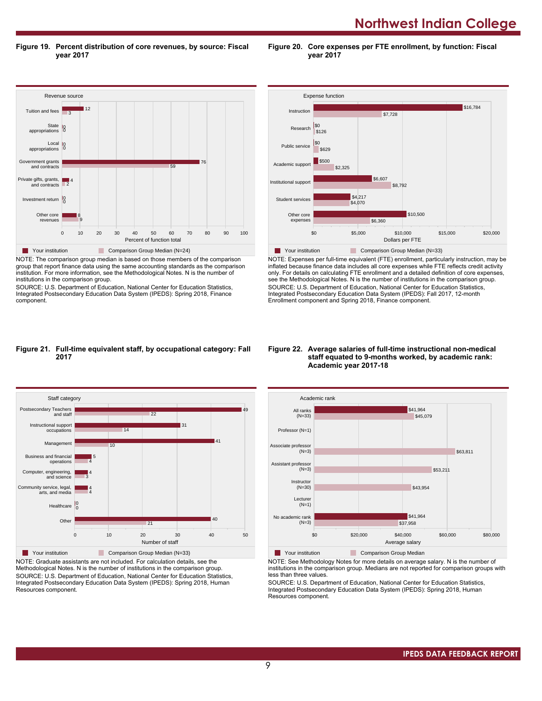**Northwest Indian College** 

**Figure 19. Percent distribution of core revenues, by source: Fiscal year 2017**

Revenue source  $r = \frac{1}{2}$ 0 10 20 30 40 50 60 70 80 90 100 Percent of function total Other core revenues Investment return 0 0 Private gifts, grants, and contracts Government grants and contracts Local **I** 0<br>tions 0 appropriations **State** appropriations Tuition and fees 9 8 2 4 59 **76** 0 0 3 | 12 Your institution Comparison Group Median (N=24) NOTE: The comparison group median is based on those members of the comparison

group that report finance data using the same accounting standards as the comparison institution. For more information, see the Methodological Notes. N is the number of institutions in the comparison group.

SOURCE: U.S. Department of Education, National Center for Education Statistics, Integrated Postsecondary Education Data System (IPEDS): Spring 2018, Finance component.



**Figure 20. Core expenses per FTE enrollment, by function: Fiscal**

**year 2017**

NOTE: Expenses per full-time equivalent (FTE) enrollment, particularly instruction, may be inflated because finance data includes all core expenses while FTE reflects credit activity only. For details on calculating FTE enrollment and a detailed definition of core expenses, see the Methodological Notes. N is the number of institutions in the comparison group. SOURCE: U.S. Department of Education, National Center for Education Statistics, Integrated Postsecondary Education Data System (IPEDS): Fall 2017, 12-month Enrollment component and Spring 2018, Finance component.

#### **Figure 21. Full-time equivalent staff, by occupational category: Fall 2017**



NOTE: Graduate assistants are not included. For calculation details, see the Methodological Notes. N is the number of institutions in the comparison group. SOURCE: U.S. Department of Education, National Center for Education Statistics, Integrated Postsecondary Education Data System (IPEDS): Spring 2018, Human Resources component.

#### **Figure 22. Average salaries of full-time instructional non-medical staff equated to 9-months worked, by academic rank: Academic year 2017-18**



NOTE: See Methodology Notes for more details on average salary. N is the number of institutions in the comparison group. Medians are not reported for comparison groups with less than three values.

SOURCE: U.S. Department of Education, National Center for Education Statistics, Integrated Postsecondary Education Data System (IPEDS): Spring 2018, Human Resources component.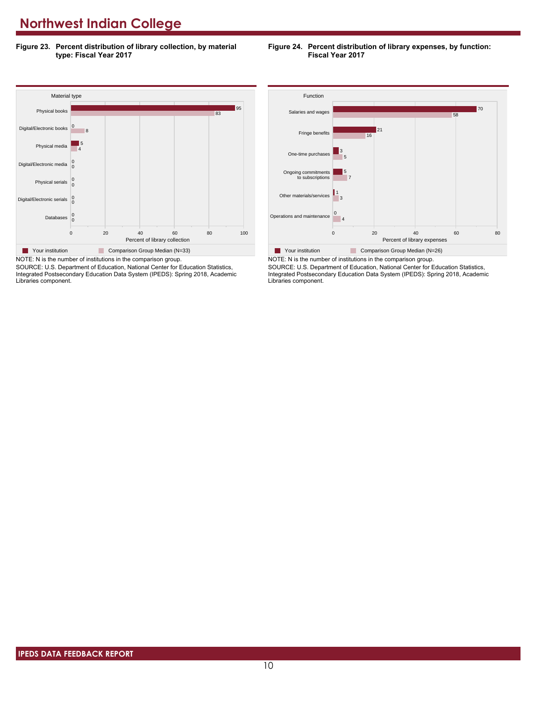**Figure 23. Percent distribution of library collection, by material type: Fiscal Year 2017**





SOURCE: U.S. Department of Education, National Center for Education Statistics, Integrated Postsecondary Education Data System (IPEDS): Spring 2018, Academic Libraries component.



NOTE: N is the number of institutions in the comparison group. SOURCE: U.S. Department of Education, National Center for Education Statistics, Integrated Postsecondary Education Data System (IPEDS): Spring 2018, Academic Libraries component.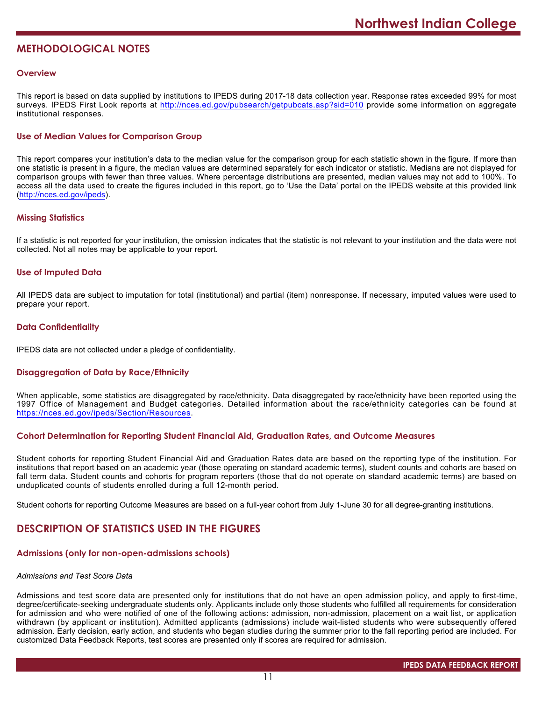# **METHODOLOGICAL NOTES**

# **Overview**

This report is based on data supplied by institutions to IPEDS during 2017-18 data collection year. Response rates exceeded 99% for most surveys. IPEDS First Look reports at <http://nces.ed.gov/pubsearch/getpubcats.asp?sid=010> provide some information on aggregate institutional responses.

# **Use of Median Values for Comparison Group**

This report compares your institution's data to the median value for the comparison group for each statistic shown in the figure. If more than one statistic is present in a figure, the median values are determined separately for each indicator or statistic. Medians are not displayed for comparison groups with fewer than three values. Where percentage distributions are presented, median values may not add to 100%. To access all the data used to create the figures included in this report, go to 'Use the Data' portal on the IPEDS website at this provided link (<http://nces.ed.gov/ipeds>).

# **Missing Statistics**

If a statistic is not reported for your institution, the omission indicates that the statistic is not relevant to your institution and the data were not collected. Not all notes may be applicable to your report.

# **Use of Imputed Data**

All IPEDS data are subject to imputation for total (institutional) and partial (item) nonresponse. If necessary, imputed values were used to prepare your report.

# **Data Confidentiality**

IPEDS data are not collected under a pledge of confidentiality.

# **Disaggregation of Data by Race/Ethnicity**

When applicable, some statistics are disaggregated by race/ethnicity. Data disaggregated by race/ethnicity have been reported using the 1997 Office of Management and Budget categories. Detailed information about the race/ethnicity categories can be found at <https://nces.ed.gov/ipeds/Section/Resources>.

#### **Cohort Determination for Reporting Student Financial Aid, Graduation Rates, and Outcome Measures**

Student cohorts for reporting Student Financial Aid and Graduation Rates data are based on the reporting type of the institution. For institutions that report based on an academic year (those operating on standard academic terms), student counts and cohorts are based on fall term data. Student counts and cohorts for program reporters (those that do not operate on standard academic terms) are based on unduplicated counts of students enrolled during a full 12-month period.

Student cohorts for reporting Outcome Measures are based on a full-year cohort from July 1-June 30 for all degree-granting institutions.

# **DESCRIPTION OF STATISTICS USED IN THE FIGURES**

# **Admissions (only for non-open-admissions schools)**

# *Admissions and Test Score Data*

Admissions and test score data are presented only for institutions that do not have an open admission policy, and apply to first-time, degree/certificate-seeking undergraduate students only. Applicants include only those students who fulfilled all requirements for consideration for admission and who were notified of one of the following actions: admission, non-admission, placement on a wait list, or application withdrawn (by applicant or institution). Admitted applicants (admissions) include wait-listed students who were subsequently offered admission. Early decision, early action, and students who began studies during the summer prior to the fall reporting period are included. For customized Data Feedback Reports, test scores are presented only if scores are required for admission.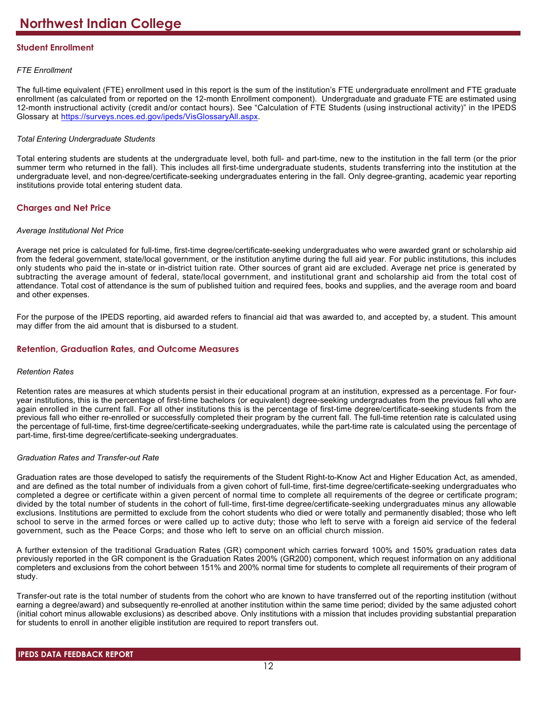# **Student Enrollment**

# *FTE Enrollment*

The full-time equivalent (FTE) enrollment used in this report is the sum of the institution's FTE undergraduate enrollment and FTE graduate enrollment (as calculated from or reported on the 12-month Enrollment component). Undergraduate and graduate FTE are estimated using 12-month instructional activity (credit and/or contact hours). See "Calculation of FTE Students (using instructional activity)" in the IPEDS Glossary at <https://surveys.nces.ed.gov/ipeds/VisGlossaryAll.aspx>.

# *Total Entering Undergraduate Students*

Total entering students are students at the undergraduate level, both full- and part-time, new to the institution in the fall term (or the prior summer term who returned in the fall). This includes all first-time undergraduate students, students transferring into the institution at the undergraduate level, and non-degree/certificate-seeking undergraduates entering in the fall. Only degree-granting, academic year reporting institutions provide total entering student data.

# **Charges and Net Price**

# *Average Institutional Net Price*

Average net price is calculated for full-time, first-time degree/certificate-seeking undergraduates who were awarded grant or scholarship aid from the federal government, state/local government, or the institution anytime during the full aid year. For public institutions, this includes only students who paid the in-state or in-district tuition rate. Other sources of grant aid are excluded. Average net price is generated by subtracting the average amount of federal, state/local government, and institutional grant and scholarship aid from the total cost of attendance. Total cost of attendance is the sum of published tuition and required fees, books and supplies, and the average room and board and other expenses.

For the purpose of the IPEDS reporting, aid awarded refers to financial aid that was awarded to, and accepted by, a student. This amount may differ from the aid amount that is disbursed to a student.

# **Retention, Graduation Rates, and Outcome Measures**

# *Retention Rates*

Retention rates are measures at which students persist in their educational program at an institution, expressed as a percentage. For fouryear institutions, this is the percentage of first-time bachelors (or equivalent) degree-seeking undergraduates from the previous fall who are again enrolled in the current fall. For all other institutions this is the percentage of first-time degree/certificate-seeking students from the previous fall who either re-enrolled or successfully completed their program by the current fall. The full-time retention rate is calculated using the percentage of full-time, first-time degree/certificate-seeking undergraduates, while the part-time rate is calculated using the percentage of part-time, first-time degree/certificate-seeking undergraduates.

# *Graduation Rates and Transfer-out Rate*

Graduation rates are those developed to satisfy the requirements of the Student Right-to-Know Act and Higher Education Act, as amended, and are defined as the total number of individuals from a given cohort of full-time, first-time degree/certificate-seeking undergraduates who completed a degree or certificate within a given percent of normal time to complete all requirements of the degree or certificate program; divided by the total number of students in the cohort of full-time, first-time degree/certificate-seeking undergraduates minus any allowable exclusions. Institutions are permitted to exclude from the cohort students who died or were totally and permanently disabled; those who left school to serve in the armed forces or were called up to active duty; those who left to serve with a foreign aid service of the federal government, such as the Peace Corps; and those who left to serve on an official church mission.

A further extension of the traditional Graduation Rates (GR) component which carries forward 100% and 150% graduation rates data previously reported in the GR component is the Graduation Rates 200% (GR200) component, which request information on any additional completers and exclusions from the cohort between 151% and 200% normal time for students to complete all requirements of their program of study.

Transfer-out rate is the total number of students from the cohort who are known to have transferred out of the reporting institution (without earning a degree/award) and subsequently re-enrolled at another institution within the same time period; divided by the same adjusted cohort (initial cohort minus allowable exclusions) as described above. Only institutions with a mission that includes providing substantial preparation for students to enroll in another eligible institution are required to report transfers out.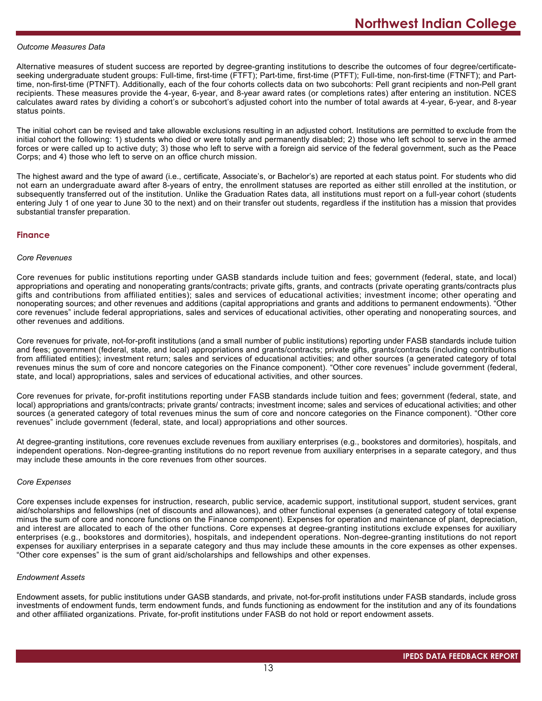#### *Outcome Measures Data*

Alternative measures of student success are reported by degree-granting institutions to describe the outcomes of four degree/certificateseeking undergraduate student groups: Full-time, first-time (FTFT); Part-time, first-time (PTFT); Full-time, non-first-time (FTNFT); and Parttime, non-first-time (PTNFT). Additionally, each of the four cohorts collects data on two subcohorts: Pell grant recipients and non-Pell grant recipients. These measures provide the 4-year, 6-year, and 8-year award rates (or completions rates) after entering an institution. NCES calculates award rates by dividing a cohort's or subcohort's adjusted cohort into the number of total awards at 4-year, 6-year, and 8-year status points.

The initial cohort can be revised and take allowable exclusions resulting in an adjusted cohort. Institutions are permitted to exclude from the initial cohort the following: 1) students who died or were totally and permanently disabled; 2) those who left school to serve in the armed forces or were called up to active duty; 3) those who left to serve with a foreign aid service of the federal government, such as the Peace Corps; and 4) those who left to serve on an office church mission.

The highest award and the type of award (i.e., certificate, Associate's, or Bachelor's) are reported at each status point. For students who did not earn an undergraduate award after 8-years of entry, the enrollment statuses are reported as either still enrolled at the institution, or subsequently transferred out of the institution. Unlike the Graduation Rates data, all institutions must report on a full-year cohort (students entering July 1 of one year to June 30 to the next) and on their transfer out students, regardless if the institution has a mission that provides substantial transfer preparation.

#### **Finance**

#### *Core Revenues*

Core revenues for public institutions reporting under GASB standards include tuition and fees; government (federal, state, and local) appropriations and operating and nonoperating grants/contracts; private gifts, grants, and contracts (private operating grants/contracts plus gifts and contributions from affiliated entities); sales and services of educational activities; investment income; other operating and nonoperating sources; and other revenues and additions (capital appropriations and grants and additions to permanent endowments). "Other core revenues" include federal appropriations, sales and services of educational activities, other operating and nonoperating sources, and other revenues and additions.

Core revenues for private, not-for-profit institutions (and a small number of public institutions) reporting under FASB standards include tuition and fees; government (federal, state, and local) appropriations and grants/contracts; private gifts, grants/contracts (including contributions from affiliated entities); investment return; sales and services of educational activities; and other sources (a generated category of total revenues minus the sum of core and noncore categories on the Finance component). "Other core revenues" include government (federal, state, and local) appropriations, sales and services of educational activities, and other sources.

Core revenues for private, for-profit institutions reporting under FASB standards include tuition and fees; government (federal, state, and local) appropriations and grants/contracts; private grants/ contracts; investment income; sales and services of educational activities; and other sources (a generated category of total revenues minus the sum of core and noncore categories on the Finance component). "Other core revenues" include government (federal, state, and local) appropriations and other sources.

At degree-granting institutions, core revenues exclude revenues from auxiliary enterprises (e.g., bookstores and dormitories), hospitals, and independent operations. Non-degree-granting institutions do no report revenue from auxiliary enterprises in a separate category, and thus may include these amounts in the core revenues from other sources.

#### *Core Expenses*

Core expenses include expenses for instruction, research, public service, academic support, institutional support, student services, grant aid/scholarships and fellowships (net of discounts and allowances), and other functional expenses (a generated category of total expense minus the sum of core and noncore functions on the Finance component). Expenses for operation and maintenance of plant, depreciation, and interest are allocated to each of the other functions. Core expenses at degree-granting institutions exclude expenses for auxiliary enterprises (e.g., bookstores and dormitories), hospitals, and independent operations. Non-degree-granting institutions do not report expenses for auxiliary enterprises in a separate category and thus may include these amounts in the core expenses as other expenses. "Other core expenses" is the sum of grant aid/scholarships and fellowships and other expenses.

#### *Endowment Assets*

Endowment assets, for public institutions under GASB standards, and private, not-for-profit institutions under FASB standards, include gross investments of endowment funds, term endowment funds, and funds functioning as endowment for the institution and any of its foundations and other affiliated organizations. Private, for-profit institutions under FASB do not hold or report endowment assets.